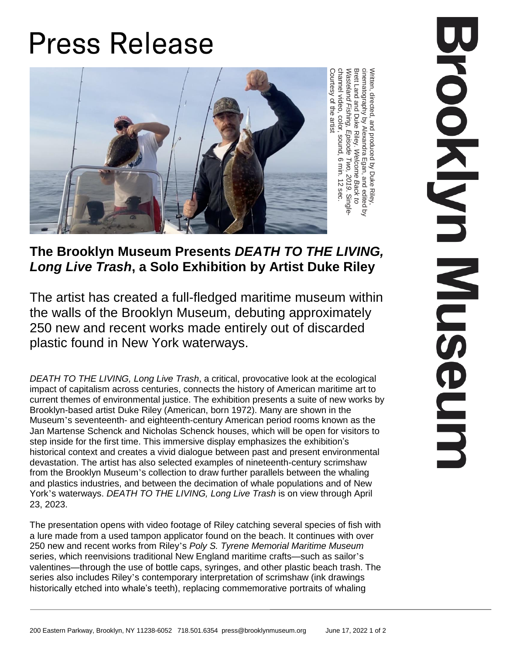## **Press Release**



Written, directed, and produced হ Duke Riley, cinematography হ Alexandra Egan, and edited হ Brett Land and Duke Riley. *Welcome Back to Wasteland Fishing, Episode Two, 2019*. Wasteland Fis*hing, Episode Two, 2019.* Single-<br>channel video, color, sound, 6 min. 12 sec. Courtesy ቧ the artist

## **The Brooklyn Museum Presents** *DEATH TO THE LIVING, Long Live Trash***, a Solo Exhibition by Artist Duke Riley**

The artist has created a full-fledged maritime museum within the walls of the Brooklyn Museum, debuting approximately 250 new and recent works made entirely out of discarded plastic found in New York waterways.

*DEATH TO THE LIVING, Long Live Trash*, a critical, provocative look at the ecological impact of capitalism across centuries, connects the history of American maritime art to current themes of environmental justice. The exhibition presents a suite of new works by Brooklyn-based artist Duke Riley (American, born 1972). Many are shown in the Museum's seventeenth- and eighteenth-century American period rooms known as the Jan Martense Schenck and Nicholas Schenck houses, which will be open for visitors to step inside for the first time. This immersive display emphasizes the exhibition's historical context and creates a vivid dialogue between past and present environmental devastation. The artist has also selected examples of nineteenth-century scrimshaw from the Brooklyn Museum's collection to draw further parallels between the whaling and plastics industries, and between the decimation of whale populations and of New York's waterways. *DEATH TO THE LIVING, Long Live Trash* is on view through April 23, 2023.

The presentation opens with video footage of Riley catching several species of fish with a lure made from a used tampon applicator found on the beach. It continues with over 250 new and recent works from Riley's *Poly S. Tyrene Memorial Maritime Museum* series, which reenvisions traditional New England maritime crafts—such as sailor's valentines—through the use of bottle caps, syringes, and other plastic beach trash. The series also includes Riley's contemporary interpretation of scrimshaw (ink drawings historically etched into whale's teeth), replacing commemorative portraits of whaling